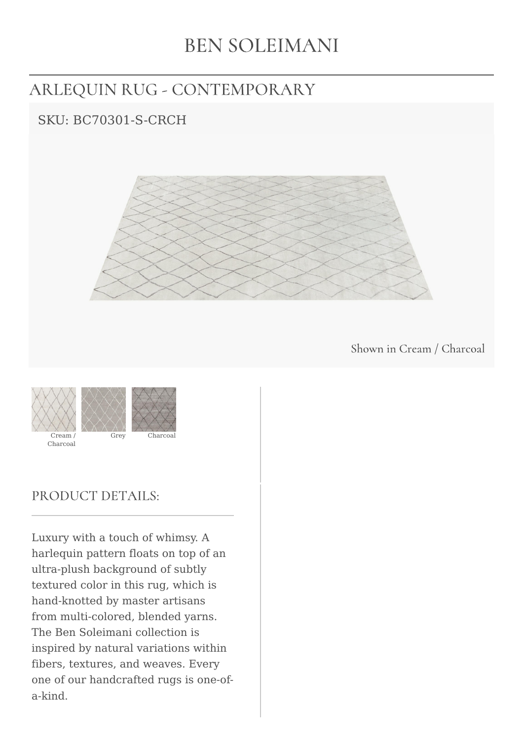# **BEN SOLEIMANI**

# ARLEQUIN RUG - CONTEMPORARY

## SKU: BC70301-S-CRCH



Shown in Cream / Charcoal



### PRODUCT DETAILS:

Luxury with a touch of whimsy. A harlequin pattern floats on top of an ultra-plush background of subtly textured color in this rug, which is hand-knotted by master artisans from multi-colored, blended yarns. The Ben Soleimani collection is inspired by natural variations within fibers, textures, and weaves. Every one of our handcrafted rugs is one-ofa-kind.